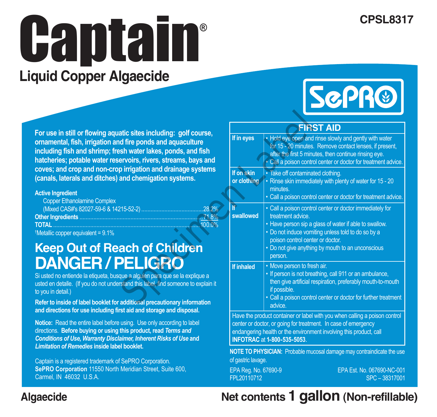# Captain<sup>®</sup> **Liquid Copper Algaecide ®**

**For use in still or flowing aquatic sites including: golf course, ornamental, fish, irrigation and fire ponds and aquaculture including fish and shrimp; fresh water lakes, ponds, and fish hatcheries; potable water reservoirs, rivers, streams, bays and coves; and crop and non-crop irrigation and drainage systems (canals, laterals and ditches) and chemigation systems.**

| <b>Active Ingredient</b> |  |
|--------------------------|--|
|                          |  |

| <b>Copper Ethanolamine Complex</b> |  |
|------------------------------------|--|
|                                    |  |

| $H_0$ distribution and a set of the set of $\Lambda$ and $\Lambda$ |  |  |
|--------------------------------------------------------------------|--|--|

#### Metallic copper equivalent = 9.1%

### **Keep Out of Reach of Children DANGER / PELIGRO**

Si usted no entiende la etiqueta, busque a alguien para que se la explique a usted en detalle. (If you do not understand this label, find someone to explain it to you in detail.)

**Refer to inside of label booklet for additional precautionary information and directions for use including first aid and storage and disposal.**

**Notice:** Read the entire label before using. Use only according to label directions. **Before buying or using this product, read** *Terms and Conditions of Use, Warranty Disclaimer, Inherent Risks of Use* **and**  *Limitation of Remedies* **inside label booklet.**

Captain is a registered trademark of SePRO Corporation. **SePRO Corporation** 11550 North Meridian Street, Suite 600, Carmel, IN 46032 U.S.A.



#### **FIRST AID** Have the product container or label with you when calling a poison control center or doctor, or going for treatment. In case of emergency endangering health or the environment involving this product, call **INFOTRAC** at **1-800-535-5053**. • Hold eye open and rinse slowly and gently with water for 15 - 20 minutes. Remove contact lenses, if present, after the first 5 minutes, then continue rinsing eye. **Call a poison control center or doctor for treatment advice** • Take off contaminated clothing. • Rinse skin immediately with plenty of water for 15 - 20 minutes. • Call a poison control center or doctor for treatment advice. • Call a poison control center or doctor immediately for treatment advice. • Have person sip a glass of water if able to swallow. • Do not induce vomiting unless told to do so by a poison control center or doctor. • Do not give anything by mouth to an unconscious person. • Move person to fresh air. • If person is not breathing, call 911 or an ambulance, then give artificial respiration, preferably mouth-to-mouth if possible. • Call a poison control center or doctor for further treatment advice. **If in eyes If on skin or clothing If swallowed If inhaled**  and the particular paraque se la explique a<br>
and the particular paraque term is the content of the second term is the content of the second term is the second term in the term is speciment of the second of the second of th

**NOTE TO PHYSICIAN:** Probable mucosal damage may contraindicate the use of gastric lavage.

EPA Reg. No. 67690-9 EPA Est. No. 067690-NC-001 SPC – 38317001

### **Algaecide Net contents 1 gallon (Non-refillable)**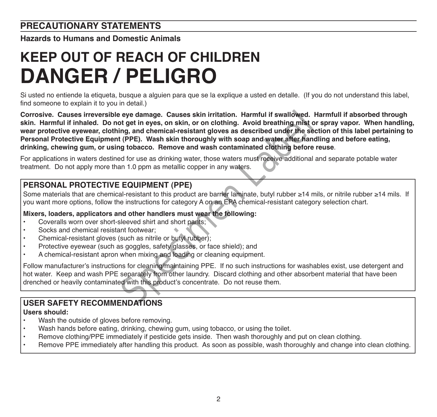#### **PRECAUTIONARY STATEMENTS**

**Hazards to Humans and Domestic Animals**

## **KEEP OUT OF REACH OF CHILDREN DANGER / PELIGRO**

Si usted no entiende la etiqueta, busque a alguien para que se la explique a usted en detalle. (If you do not understand this label, find someone to explain it to you in detail.)

**Corrosive. Causes irreversible eye damage. Causes skin irritation. Harmful if swallowed. Harmfull if absorbed through skin. Harmful if inhaled. Do not get in eyes, on skin, or on clothing. Avoid breathing mist or spray vapor. When handling, wear protective eyewear, clothing, and chemical-resistant gloves as described under the section of this label pertaining to Personal Protective Equipment (PPE). Wash skin thoroughly with soap and water after handling and before eating, drinking, chewing gum, or using tobacco. Remove and wash contaminated clothing before reuse**. eye damage. Causes skin irritation. Harmful if swallowed. I<br>to get in eyes, on skin, or on clothing. Avoid breathing mist o<br>ng, and chemical-resistant gloves as described under the set<br>((PPE). Wash skin thoroughly with so

For applications in waters destined for use as drinking water, those waters must receive additional and separate potable water treatment. Do not apply more than 1.0 ppm as metallic copper in any waters.

#### **PERSONAL PROTECTIVE EQUIPMENT (PPE)**

Some materials that are chemical-resistant to this product are barrier laminate, butyl rubber ≥14 mils, or nitrile rubber ≥14 mils. If you want more options, follow the instructions for category A on an EPA chemical-resistant category selection chart.

#### **Mixers, loaders, applicators and other handlers must wear the following:**

- Coveralls worn over short-sleeved shirt and short pants;
- Socks and chemical resistant footwear;
- Chemical-resistant gloves (such as nitrile or butyl rubber);
- Protective eyewear (such as goggles, safety glasses, or face shield); and
- A chemical-resistant apron when mixing and loading or cleaning equipment.

Follow manufacturer's instructions for cleaning/maintaining PPE. If no such instructions for washables exist, use detergent and hot water. Keep and wash PPE separately from other laundry. Discard clothing and other absorbent material that have been drenched or heavily contaminated with this product's concentrate. Do not reuse them.

### **USER SAFETY RECOMMENDATIONS**

#### **Users should:**

- Wash the outside of gloves before removing.
- Wash hands before eating, drinking, chewing gum, using tobacco, or using the toilet.
- Remove clothing/PPE immediately if pesticide gets inside. Then wash thoroughly and put on clean clothing.
- Remove PPE immediately after handling this product. As soon as possible, wash thoroughly and change into clean clothing.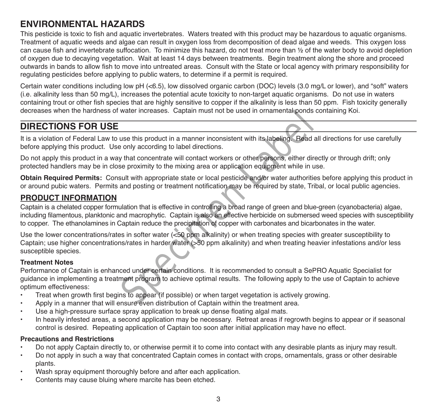### **ENVIRONMENTAL HAZARDS**

This pesticide is toxic to fish and aquatic invertebrates. Waters treated with this product may be hazardous to aquatic organisms. Treatment of aquatic weeds and algae can result in oxygen loss from decomposition of dead algae and weeds. This oxygen loss can cause fish and invertebrate suffocation. To minimize this hazard, do not treat more than ½ of the water body to avoid depletion of oxygen due to decaying vegetation. Wait at least 14 days between treatments. Begin treatment along the shore and proceed outwards in bands to allow fish to move into untreated areas. Consult with the State or local agency with primary responsibility for regulating pesticides before applying to public waters, to determine if a permit is required.

Certain water conditions including low pH (<6.5), low dissolved organic carbon (DOC) levels (3.0 mg/L or lower), and "soft" waters (i.e. alkalinity less than 50 mg/L), increases the potential acute toxicity to non-target aquatic organisms. Do not use in waters containing trout or other fish species that are highly sensitive to copper if the alkalinity is less than 50 ppm. Fish toxicity generally decreases when the hardness of water increases. Captain must not be used in ornamental ponds containing Koi.

#### **DIRECTIONS FOR USE**

It is a violation of Federal Law to use this product in a manner inconsistent with its labeling. Read all directions for use carefully before applying this product. Use only according to label directions.

Do not apply this product in a way that concentrate will contact workers or other persons, either directly or through drift; only protected handlers may be in close proximity to the mixing area or application equipment while in use.

**Obtain Required Permits:** Consult with appropriate state or local pesticide and/or water authorities before applying this product in or around pubic waters. Permits and posting or treatment notification may be required by state, Tribal, or local public agencies.

#### **PRODUCT INFORMATION**

Captain is a chelated copper formulation that is effective in controlling a broad range of green and blue-green (cyanobacteria) algae, including filamentous, planktonic and macrophytic. Captain is also an effective herbicide on submersed weed species with susceptibility to copper. The ethanolamines in Captain reduce the precipitation of copper with carbonates and bicarbonates in the water.

Use the lower concentrations/rates in softer water (<50 ppm alkalinity) or when treating species with greater susceptibility to Captain; use higher concentrations/rates in harder water (>50 ppm alkalinity) and when treating heavier infestations and/or less susceptible species. water increases. Captain must not be used in omamental ponds<br>
water increases. Captain must not be used in omamental ponds<br>
yies this product in a manner inconsistent with its labeling. Read a<br>
conly according to label dir

#### **Treatment Notes**

Performance of Captain is enhanced under certain conditions. It is recommended to consult a SePRO Aquatic Specialist for guidance in implementing a treatment program to achieve optimal results. The following apply to the use of Captain to achieve optimum effectiveness:

- Treat when growth first begins to appear (if possible) or when target vegetation is actively growing.
- Apply in a manner that will ensure even distribution of Captain within the treatment area.
- Use a high-pressure surface spray application to break up dense floating algal mats.
- In heavily infested areas, a second application may be necessary. Retreat areas if regrowth begins to appear or if seasonal control is desired. Repeating application of Captain too soon after initial application may have no effect.

#### **Precautions and Restrictions**

- Do not apply Captain directly to, or otherwise permit it to come into contact with any desirable plants as injury may result.<br>• Do not apply in such a way that concentrated Captain comes in contact with crops, ernamental
- Do not apply in such a way that concentrated Captain comes in contact with crops, ornamentals, grass or other desirable plants.
- Wash spray equipment thoroughly before and after each application.
- Contents may cause bluing where marcite has been etched.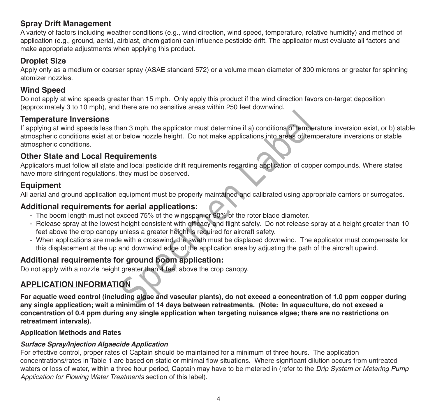#### **Spray Drift Management**

A variety of factors including weather conditions (e.g., wind direction, wind speed, temperature, relative humidity) and method of application (e.g., ground, aerial, airblast, chemigation) can influence pesticide drift. The applicator must evaluate all factors and make appropriate adjustments when applying this product.

#### **Droplet Size**

Apply only as a medium or coarser spray (ASAE standard 572) or a volume mean diameter of 300 microns or greater for spinning atomizer nozzles.

#### **Wind Speed**

Do not apply at wind speeds greater than 15 mph. Only apply this product if the wind direction favors on-target deposition (approximately 3 to 10 mph), and there are no sensitive areas within 250 feet downwind.

#### **Temperature Inversions**

If applying at wind speeds less than 3 mph, the applicator must determine if a) conditions of temperature inversion exist, or b) stable atmospheric conditions exist at or below nozzle height. Do not make applications into areas of temperature inversions or stable atmospheric conditions. and 3 mph, the applicator must determine if a) conditions of temperate below nozzle height. Do not make applications into areas of temperaturements<br>
interments<br>
interments<br>
and local pesticide drift requirements regarding

#### **Other State and Local Requirements**

Applicators must follow all state and local pesticide drift requirements regarding application of copper compounds. Where states have more stringent regulations, they must be observed.

#### **Equipment**

All aerial and ground application equipment must be properly maintained and calibrated using appropriate carriers or surrogates.

#### **Additional requirements for aerial applications:**

- The boom length must not exceed 75% of the wingspan or 90% of the rotor blade diameter.
- Release spray at the lowest height consistent with efficacy and flight safety. Do not release spray at a height greater than 10 feet above the crop canopy unless a greater height is required for aircraft safety.
- When applications are made with a crosswind, the swath must be displaced downwind. The applicator must compensate for this displacement at the up and downwind edge of the application area by adjusting the path of the aircraft upwind.

#### **Additional requirements for ground boom application:**

Do not apply with a nozzle height greater than 4 feet above the crop canopy.

#### **APPLICATION INFORMATION**

**For aquatic weed control (including algae and vascular plants), do not exceed a concentration of 1.0 ppm copper during any single application; wait a minimum of 14 days between retreatments. (Note: In aquaculture, do not exceed a concentration of 0.4 ppm during any single application when targeting nuisance algae; there are no restrictions on retreatment intervals).**

#### **Application Methods and Rates**

#### *Surface Spray/Injection Algaecide Application*

For effective control, proper rates of Captain should be maintained for a minimum of three hours. The application concentrations/rates in Table 1 are based on static or minimal flow situations. Where significant dilution occurs from untreated waters or loss of water, within a three hour period, Captain may have to be metered in (refer to the *Drip System or Metering Pump Application for Flowing Water Treatments* section of this label).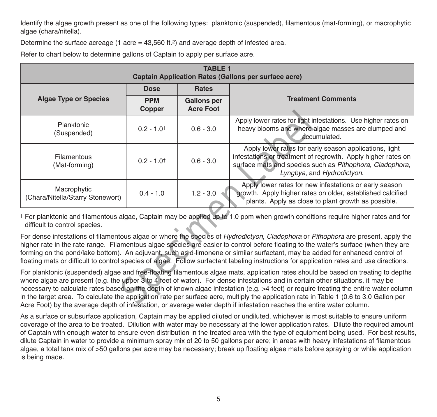Identify the algae growth present as one of the following types: planktonic (suspended), filamentous (mat-forming), or macrophytic algae (chara/nitella).

Determine the surface acreage (1 acre =  $43.560$  ft.<sup>2</sup>) and average depth of infested area.

Refer to chart below to determine gallons of Captain to apply per surface acre.

| <b>TABLE 1</b><br>Captain Application Rates (Gallons per surface acre)                                                                                                                                                                                                                                                                                                                                                                                                                                                                                                                                                                                                                 |                          |                                        |                                                                                                                                                                                                                  |  |
|----------------------------------------------------------------------------------------------------------------------------------------------------------------------------------------------------------------------------------------------------------------------------------------------------------------------------------------------------------------------------------------------------------------------------------------------------------------------------------------------------------------------------------------------------------------------------------------------------------------------------------------------------------------------------------------|--------------------------|----------------------------------------|------------------------------------------------------------------------------------------------------------------------------------------------------------------------------------------------------------------|--|
|                                                                                                                                                                                                                                                                                                                                                                                                                                                                                                                                                                                                                                                                                        | Dose                     | <b>Rates</b>                           |                                                                                                                                                                                                                  |  |
| <b>Algae Type or Species</b>                                                                                                                                                                                                                                                                                                                                                                                                                                                                                                                                                                                                                                                           | <b>PPM</b><br>Copper     | <b>Gallons per</b><br><b>Acre Foot</b> | <b>Treatment Comments</b>                                                                                                                                                                                        |  |
| Planktonic<br>(Suspended)                                                                                                                                                                                                                                                                                                                                                                                                                                                                                                                                                                                                                                                              | $0.2 - 1.0$              | $0.6 - 3.0$                            | Apply lower rates for light infestations. Use higher rates on<br>heavy blooms and where algae masses are clumped and<br>accumulated.                                                                             |  |
| Filamentous<br>(Mat-forming)                                                                                                                                                                                                                                                                                                                                                                                                                                                                                                                                                                                                                                                           | $0.2 - 1.0$ <sup>t</sup> | $0.6 - 3.0$                            | Apply lower rates for early season applications, light<br>infestations or treatment of regrowth. Apply higher rates on<br>surface mats and species such as Pithophora, Cladophora,<br>Lyngbya, and Hydrodictyon. |  |
| Macrophytic<br>(Chara/Nitella/Starry Stonewort)                                                                                                                                                                                                                                                                                                                                                                                                                                                                                                                                                                                                                                        | $0.4 - 1.0$              | $1.2 - 3.0$                            | Apply lower rates for new infestations or early season<br>growth. Apply higher rates on older, established calcified<br>plants. Apply as close to plant growth as possible.                                      |  |
| t For planktonic and filamentous algae, Captain may be applied up to 1.0 ppm when growth conditions require higher rates and for<br>difficult to control species.                                                                                                                                                                                                                                                                                                                                                                                                                                                                                                                      |                          |                                        |                                                                                                                                                                                                                  |  |
| For dense infestations of filamentous algae or where the species of Hydrodictyon, Cladophora or Pithophora are present, apply the<br>higher rate in the rate range. Filamentous algae species are easier to control before floating to the water's surface (when they are<br>forming on the pond/lake bottom). An adjuvant, such as d-limonene or similar surfactant, may be added for enhanced control of<br>floating mats or difficult to control species of algae. Follow surfactant labeling instructions for application rates and use directions.                                                                                                                                |                          |                                        |                                                                                                                                                                                                                  |  |
| For planktonic (suspended) algae and free-floating filamentous algae mats, application rates should be based on treating to depths<br>where algae are present (e.g. the upper 3 to 4 feet of water). For dense infestations and in certain other situations, it may be<br>necessary to calculate rates based on the depth of known algae infestation (e.g. >4 feet) or require treating the entire water column<br>in the target area. To calculate the application rate per surface acre, multiply the application rate in Table 1 (0.6 to 3.0 Gallon per<br>Agra East) by the average dapth of infectation, as average water dapth if infectation seephen the entire water equipment |                          |                                        |                                                                                                                                                                                                                  |  |

For planktonic (suspended) algae and free-floating filamentous algae mats, application rates should be based on treating to depths where algae are present (e.g. the upper 3 to 4 feet of water). For dense infestations and in certain other situations, it may be necessary to calculate rates based on the depth of known algae infestation (e.g. >4 feet) or require treating the entire water column in the target area. To calculate the application rate per surface acre, multiply the application rate in Table 1 (0.6 to 3.0 Gallon per Acre Foot) by the average depth of infestation, or average water depth if infestation reaches the entire water column.

As a surface or subsurface application, Captain may be applied diluted or undiluted, whichever is most suitable to ensure uniform coverage of the area to be treated. Dilution with water may be necessary at the lower application rates. Dilute the required amount of Captain with enough water to ensure even distribution in the treated area with the type of equipment being used. For best results, dilute Captain in water to provide a minimum spray mix of 20 to 50 gallons per acre; in areas with heavy infestations of filamentous algae, a total tank mix of >50 gallons per acre may be necessary; break up floating algae mats before spraying or while application is being made.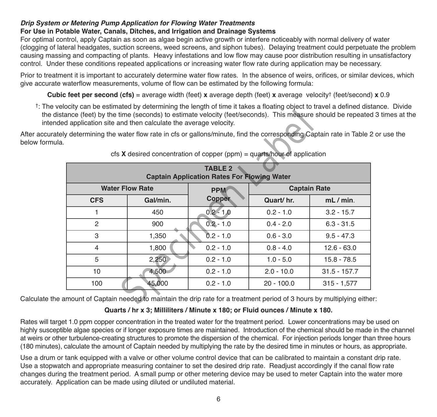#### *Drip System or Metering Pump Application for Flowing Water Treatments*

#### **For Use in Potable Water, Canals, Ditches, and Irrigation and Drainage Systems**

For optimal control, apply Captain as soon as algae begin active growth or interfere noticeably with normal delivery of water (clogging of lateral headgates, suction screens, weed screens, and siphon tubes). Delaying treatment could perpetuate the problem causing massing and compacting of plants. Heavy infestations and low flow may cause poor distribution resulting in unsatisfactory control. Under these conditions repeated applications or increasing water flow rate during application may be necessary.

Prior to treatment it is important to accurately determine water flow rates. In the absence of weirs, orifices, or similar devices, which give accurate waterflow measurements, volume of flow can be estimated by the following formula:

**Cubic feet per second (cfs)** = average width (feet) **x** average depth (feet) **x** average velocity<sup>†</sup> (feet/second) **x** 0.9

†: The velocity can be estimated by determining the length of time it takes a floating object to travel a defined distance. Divide the distance (feet) by the time (seconds) to estimate velocity (feet/seconds). This measure should be repeated 3 times at the intended application site and then calculate the average velocity.

After accurately determining the water flow rate in cfs or gallons/minute, find the corresponding Captain rate in Table 2 or use the below formula.

| determining the water flow rate in cfs or gallons/minute, find the corresponding Captain rate in Table 2<br>cfs <b>X</b> desired concentration of copper (ppm) = quarts/hour of application |                        |             |                     |                |
|---------------------------------------------------------------------------------------------------------------------------------------------------------------------------------------------|------------------------|-------------|---------------------|----------------|
| <b>TABLE 2</b><br><b>Captain Application Rates For Flowing Water</b>                                                                                                                        |                        |             |                     |                |
|                                                                                                                                                                                             | <b>Water Flow Rate</b> | <b>PPM</b>  | <b>Captain Rate</b> |                |
| <b>CFS</b>                                                                                                                                                                                  | Gal/min.               | Copper      | Quart/hr.           | $mL/min$ .     |
|                                                                                                                                                                                             | 450                    | $0.2 - 1.0$ | $0.2 - 1.0$         | $3.2 - 15.7$   |
| $\overline{2}$                                                                                                                                                                              | 900                    | $0.2 - 1.0$ | $0.4 - 2.0$         | $6.3 - 31.5$   |
| 3                                                                                                                                                                                           | 1,350                  | $0.2 - 1.0$ | $0.6 - 3.0$         | $9.5 - 47.3$   |
| 4                                                                                                                                                                                           | 1,800                  | $0.2 - 1.0$ | $0.8 - 4.0$         | $12.6 - 63.0$  |
| 5                                                                                                                                                                                           | 2,250                  | $0.2 - 1.0$ | $1.0 - 5.0$         | $15.8 - 78.5$  |
| 10                                                                                                                                                                                          | 4,500                  | $0.2 - 1.0$ | $2.0 - 10.0$        | $31.5 - 157.7$ |
| 100                                                                                                                                                                                         | 45,000                 | $0.2 - 1.0$ | $20 - 100.0$        | $315 - 1,577$  |

Calculate the amount of Captain needed to maintain the drip rate for a treatment period of 3 hours by multiplying either:

#### **Quarts / hr x 3; Milliliters / Minute x 180; or Fluid ounces / Minute x 180.**

Rates will target 1.0 ppm copper concentration in the treated water for the treatment period. Lower concentrations may be used on highly susceptible algae species or if longer exposure times are maintained. Introduction of the chemical should be made in the channel at weirs or other turbulence-creating structures to promote the dispersion of the chemical. For injection periods longer than three hours (180 minutes), calculate the amount of Captain needed by multiplying the rate by the desired time in minutes or hours, as appropriate.

Use a drum or tank equipped with a valve or other volume control device that can be calibrated to maintain a constant drip rate. Use a stopwatch and appropriate measuring container to set the desired drip rate. Readjust accordingly if the canal flow rate changes during the treatment period. A small pump or other metering device may be used to meter Captain into the water more accurately. Application can be made using diluted or undiluted material.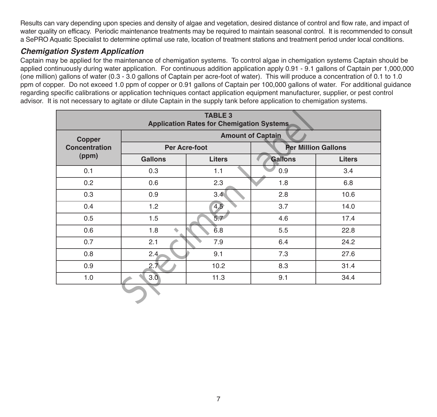Results can vary depending upon species and density of algae and vegetation, desired distance of control and flow rate, and impact of water quality on efficacy. Periodic maintenance treatments may be required to maintain seasonal control. It is recommended to consult a SePRO Aquatic Specialist to determine optimal use rate, location of treatment stations and treatment period under local conditions.

#### *Chemigation System Application*

Captain may be applied for the maintenance of chemigation systems. To control algae in chemigation systems Captain should be applied continuously during water application. For continuous addition application apply 0.91 - 9.1 gallons of Captain per 1,000,000 (one million) gallons of water (0.3 - 3.0 gallons of Captain per acre-foot of water). This will produce a concentration of 0.1 to 1.0 ppm of copper. Do not exceed 1.0 ppm of copper or 0.91 gallons of Captain per 100,000 gallons of water. For additional guidance regarding specific calibrations or application techniques contact application equipment manufacturer, supplier, or pest control advisor. It is not necessary to agitate or dilute Captain in the supply tank before application to chemigation systems.

| <b>TABLE 3</b><br><b>Application Rates for Chemigation Systems</b> |                          |                  |                            |        |  |
|--------------------------------------------------------------------|--------------------------|------------------|----------------------------|--------|--|
| Copper                                                             | <b>Amount of Captain</b> |                  |                            |        |  |
| <b>Concentration</b>                                               | Per Acre-foot            |                  | <b>Per Million Gallons</b> |        |  |
| (ppm)                                                              | <b>Gallons</b>           | Liters           | Gallons                    | Liters |  |
| 0.1                                                                | 0.3                      | 1.1              | 0.9                        | 3.4    |  |
| 0.2                                                                | 0.6                      | 2.3              | 1.8                        | 6.8    |  |
| 0.3                                                                | 0.9                      | 3.4 <sub>0</sub> | 2.8                        | 10.6   |  |
| 0.4                                                                | 1.2                      | 4.5              | 3.7                        | 14.0   |  |
| 0.5                                                                | 1.5                      | 5.7              | 4.6                        | 17.4   |  |
| 0.6                                                                | 1.8<br>ó.                | 6.8              | 5.5                        | 22.8   |  |
| 0.7                                                                | 2.1                      | 7.9              | 6.4                        | 24.2   |  |
| 0.8                                                                | 2.4                      | 9.1              | 7.3                        | 27.6   |  |
| 0.9                                                                | 2.7                      | 10.2             | 8.3                        | 31.4   |  |
| 1.0                                                                | 3.0                      | 11.3             | 9.1                        | 34.4   |  |
|                                                                    |                          |                  |                            |        |  |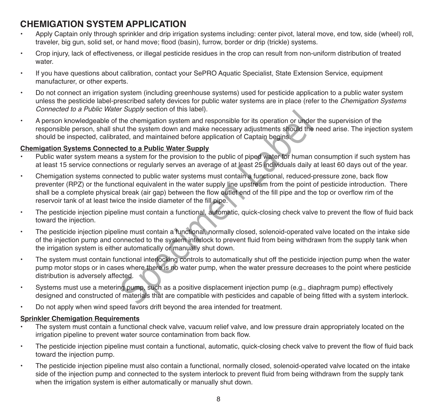### **CHEMIGATION SYSTEM APPLICATION**

- Apply Captain only through sprinkler and drip irrigation systems including: center pivot, lateral move, end tow, side (wheel) roll, traveler, big gun, solid set, or hand move; flood (basin), furrow, border or drip (trickle) systems.
- Crop injury, lack of effectiveness, or illegal pesticide residues in the crop can result from non-uniform distribution of treated water.
- If you have questions about calibration, contact your SePRO Aquatic Specialist, State Extension Service, equipment manufacturer, or other experts.
- Do not connect an irrigation system (including greenhouse systems) used for pesticide application to a public water system unless the pesticide label-prescribed safety devices for public water systems are in place (refer to the *Chemigation Systems Connected to a Public Water Supply* section of this label).
- A person knowledgeable of the chemigation system and responsible for its operation or under the supervision of the responsible person, shall shut the system down and make necessary adjustments should the need arise. The injection system should be inspected, calibrated, and maintained before application of Captain begins.

#### **Chemigation Systems Connected to a Public Water Supply**

- Public water system means a system for the provision to the public of piped water for human consumption if such system has at least 15 service connections or regularly serves an average of at least 25 individuals daily at least 60 days out of the year.
- Chemigation systems connected to public water systems must contain a functional, reduced-pressure zone, back flow preventer (RPZ) or the functional equivalent in the water supply line upstream from the point of pesticide introduction. There shall be a complete physical break (air gap) between the flow outlet end of the fill pipe and the top or overflow rim of the reservoir tank of at least twice the inside diameter of the fill pipe. Suppry section of this table).<br>
The chemigration system and responsible for its operation or under<br>
the the system down and make necessary adjustments should the<br>
ted, and maintained before application of Captain begins.<br>
- The pesticide injection pipeline must contain a functional, automatic, quick-closing check valve to prevent the flow of fluid back toward the injection.
- The pesticide injection pipeline must contain a functional, normally closed, solenoid-operated valve located on the intake side of the injection pump and connected to the system interlock to prevent fluid from being withdrawn from the supply tank when the irrigation system is either automatically or manually shut down.
- The system must contain functional interlocking controls to automatically shut off the pesticide injection pump when the water pump motor stops or in cases where there is no water pump, when the water pressure decreases to the point where pesticide distribution is adversely affected.
- Systems must use a metering pump, such as a positive displacement injection pump (e.g., diaphragm pump) effectively designed and constructed of materials that are compatible with pesticides and capable of being fitted with a system interlock.
- Do not apply when wind speed favors drift beyond the area intended for treatment.

#### **Sprinkler Chemigation Requirements**

- The system must contain a functional check valve, vacuum relief valve, and low pressure drain appropriately located on the irrigation pipeline to prevent water source contamination from back flow.
- The pesticide injection pipeline must contain a functional, automatic, quick-closing check valve to prevent the flow of fluid back toward the injection pump.
- The pesticide injection pipeline must also contain a functional, normally closed, solenoid-operated valve located on the intake side of the injection pump and connected to the system interlock to prevent fluid from being withdrawn from the supply tank when the irrigation system is either automatically or manually shut down.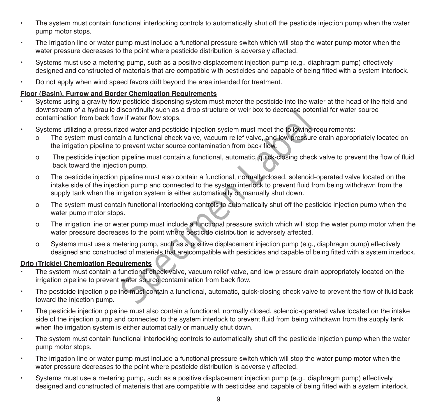- The system must contain functional interlocking controls to automatically shut off the pesticide injection pump when the water pump motor stops.
- The irrigation line or water pump must include a functional pressure switch which will stop the water pump motor when the water pressure decreases to the point where pesticide distribution is adversely affected.
- Systems must use a metering pump, such as a positive displacement injection pump (e.g.. diaphragm pump) effectively designed and constructed of materials that are compatible with pesticides and capable of being fitted with a system interlock.
- Do not apply when wind speed favors drift beyond the area intended for treatment.

#### **Floor (Basin), Furrow and Border Chemigation Requirements**

- Systems using a gravity flow pesticide dispensing system must meter the pesticide into the water at the head of the field and downstream of a hydraulic discontinuity such as a drop structure or weir box to decrease potential for water source contamination from back flow if water flow stops.
- Systems utilizing a pressurized water and pesticide injection system must meet the following requirements:
	- The system must contain a functional check valve, vacuum relief valve, and low pressure drain appropriately located on the irrigation pipeline to prevent water source contamination from back flow.
	- o The pesticide injection pipeline must contain a functional, automatic, quick-closing check valve to prevent the flow of fluid back toward the injection pump.
- o The pesticide injection pipeline must also contain a functional, normally closed, solenoid-operated valve located on the intake side of the injection pump and connected to the system interlock to prevent fluid from being withdrawn from the supply tank when the irrigation system is either automatically or manually shut down. isocommuny such as a arop structure or weir box to decrease pote<br>is it water flow stops.<br>The value of which as a drop structure or weir box to decrease pote<br>in a functional check valve, vacuum relief valve, and low pressur
	- o The system must contain functional interlocking controls to automatically shut off the pesticide injection pump when the water pump motor stops.
	- o The irrigation line or water pump must include a functional pressure switch which will stop the water pump motor when the water pressure decreases to the point where pesticide distribution is adversely affected.
	- o Systems must use a metering pump, such as a positive displacement injection pump (e.g., diaphragm pump) effectively designed and constructed of materials that are compatible with pesticides and capable of being fitted with a system interlock.

#### **Drip (Trickle) Chemigation Requirements**

- The system must contain a functional check valve, vacuum relief valve, and low pressure drain appropriately located on the irrigation pipeline to prevent water source contamination from back flow.
- The pesticide injection pipeline must contain a functional, automatic, quick-closing check valve to prevent the flow of fluid back toward the injection pump.
- The pesticide injection pipeline must also contain a functional, normally closed, solenoid-operated valve located on the intake side of the injection pump and connected to the system interlock to prevent fluid from being withdrawn from the supply tank when the irrigation system is either automatically or manually shut down.
- The system must contain functional interlocking controls to automatically shut off the pesticide injection pump when the water pump motor stops.
- The irrigation line or water pump must include a functional pressure switch which will stop the water pump motor when the water pressure decreases to the point where pesticide distribution is adversely affected.
- Systems must use a metering pump, such as a positive displacement injection pump (e.g.. diaphragm pump) effectively designed and constructed of materials that are compatible with pesticides and capable of being fitted with a system interlock.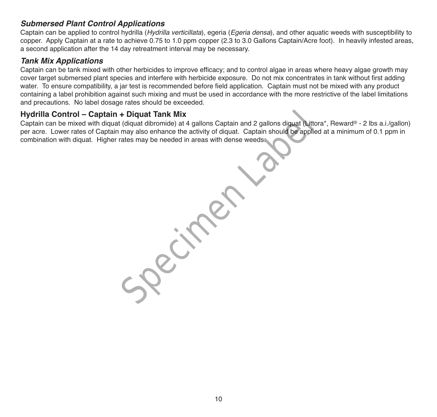#### *Submersed Plant Control Applications*

Captain can be applied to control hydrilla (*Hydrilla verticillata*), egeria (*Egeria densa*), and other aquatic weeds with susceptibility to copper. Apply Captain at a rate to achieve 0.75 to 1.0 ppm copper (2.3 to 3.0 Gallons Captain/Acre foot). In heavily infested areas, a second application after the 14 day retreatment interval may be necessary.

#### *Tank Mix Applications*

Captain can be tank mixed with other herbicides to improve efficacy; and to control algae in areas where heavy algae growth may cover target submersed plant species and interfere with herbicide exposure. Do not mix concentrates in tank without first adding water. To ensure compatibility, a jar test is recommended before field application. Captain must not be mixed with any product containing a label prohibition against such mixing and must be used in accordance with the more restrictive of the label limitations and precautions. No label dosage rates should be exceeded.

#### **Hydrilla Control – Captain + Diquat Tank Mix**

Captain can be mixed with diquat (diquat dibromide) at 4 gallons Captain and 2 gallons diquat (Littora\*, Reward® - 2 lbs a.i./gallon) per acre. Lower rates of Captain may also enhance the activity of diquat. Captain should be applied at a minimum of 0.1 ppm in combination with diquat. Higher rates may be needed in areas with dense weeds.

Specimental

10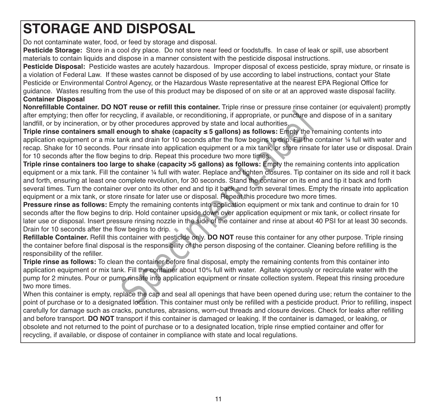## **STORAGE AND DISPOSAL**

Do not contaminate water, food, or feed by storage and disposal.

**Pesticide Storage:** Store in a cool dry place. Do not store near feed or foodstuffs. In case of leak or spill, use absorbent materials to contain liquids and dispose in a manner consistent with the pesticide disposal instructions.

**Pesticide Disposal:** Pesticide wastes are acutely hazardous. Improper disposal of excess pesticide, spray mixture, or rinsate is a violation of Federal Law. If these wastes cannot be disposed of by use according to label instructions, contact your State Pesticide or Environmental Control Agency, or the Hazardous Waste representative at the nearest EPA Regional Office for guidance. Wastes resulting from the use of this product may be disposed of on site or at an approved waste disposal facility. **Container Disposal**

**Nonrefillable Container. DO NOT reuse or refill this container.** Triple rinse or pressure rinse container (or equivalent) promptly after emptying; then offer for recycling, if available, or reconditioning, if appropriate, or puncture and dispose of in a sanitary landfill, or by incineration, or by other procedures approved by state and local authorities.

**Triple rinse containers small enough to shake (capacity ≤ 5 gallons) as follows:** Empty the remaining contents into application equipment or a mix tank and drain for 10 seconds after the flow begins to drip. Fill the container 1/4 full with water and recap. Shake for 10 seconds. Pour rinsate into application equipment or a mix tank, or store rinsate for later use or disposal. Drain for 10 seconds after the flow begins to drip. Repeat this procedure two more times.

**Triple rinse containers too large to shake (capacity >5 gallons) as follows:** Empty the remaining contents into application equipment or a mix tank. Fill the container ¼ full with water. Replace and tighten closures. Tip container on its side and roll it back and forth, ensuring at least one complete revolution, for 30 seconds. Stand the container on its end and tip it back and forth several times. Turn the container over onto its other end and tip it back and forth several times. Empty the rinsate into application equipment or a mix tank, or store rinsate for later use or disposal. Repeat this procedure two more times. **Example 10** to shall the product means the product means the procedures approved by state and local authorities.<br>
The procedures approved by state and local authorities.<br>
The procedures approved by state and local author

**Pressure rinse as follows:** Empty the remaining contents into application equipment or mix tank and continue to drain for 10 seconds after the flow begins to drip. Hold container upside down over application equipment or mix tank, or collect rinsate for later use or disposal. Insert pressure rinsing nozzle in the side of the container and rinse at about 40 PSI for at least 30 seconds. Drain for 10 seconds after the flow begins to drip.

**Refillable Container.** Refill this container with pesticide only. **DO NOT** reuse this container for any other purpose. Triple rinsing the container before final disposal is the responsibility of the person disposing of the container. Cleaning before refilling is the responsibility of the refiller.

**Triple rinse as follows:** To clean the container before final disposal, empty the remaining contents from this container into application equipment or mix tank. Fill the container about 10% full with water. Agitate vigorously or recirculate water with the pump for 2 minutes. Pour or pump rinsate into application equipment or rinsate collection system. Repeat this rinsing procedure two more times.

When this container is empty, replace the cap and seal all openings that have been opened during use; return the container to the point of purchase or to a designated location. This container must only be refilled with a pesticide product. Prior to refilling, inspect carefully for damage such as cracks, punctures, abrasions, worn-out threads and closure devices. Check for leaks after refilling and before transport. **DO NOT** transport if this container is damaged or leaking. If the container is damaged, or leaking, or obsolete and not returned to the point of purchase or to a designated location, triple rinse emptied container and offer for recycling, if available, or dispose of container in compliance with state and local regulations.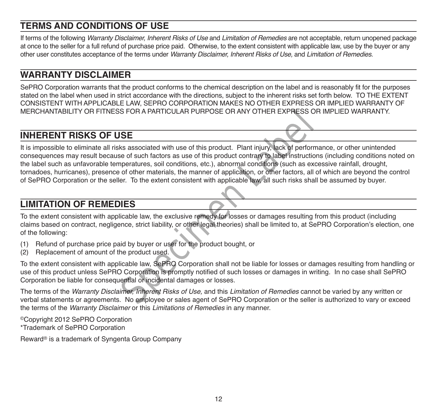#### **TERMS AND CONDITIONS OF USE**

If terms of the following *Warranty Disclaimer, Inherent Risks of Use* and *Limitation of Remedies* are not acceptable, return unopened package at once to the seller for a full refund of purchase price paid. Otherwise, to the extent consistent with applicable law, use by the buyer or any other user constitutes acceptance of the terms under *Warranty Disclaimer, Inherent Risks of Use,* and *Limitation of Remedies*.

#### **WARRANTY DISCLAIMER**

SePRO Corporation warrants that the product conforms to the chemical description on the label and is reasonably fit for the purposes stated on the label when used in strict accordance with the directions, subject to the inherent risks set forth below. TO THE EXTENT CONSISTENT WITH APPLICABLE LAW, SEPRO CORPORATION MAKES NO OTHER EXPRESS OR IMPLIED WARRANTY OF MERCHANTABILITY OR FITNESS FOR A PARTICULAR PURPOSE OR ANY OTHER EXPRESS OR IMPLIED WARRANTY.

#### **INHERENT RISKS OF USE**

It is impossible to eliminate all risks associated with use of this product. Plant injury, lack of performance, or other unintended consequences may result because of such factors as use of this product contrary to label instructions (including conditions noted on the label such as unfavorable temperatures, soil conditions, etc.), abnormal conditions (such as excessive rainfall, drought, tornadoes, hurricanes), presence of other materials, the manner of application, or other factors, all of which are beyond the control of SePRO Corporation or the seller. To the extent consistent with applicable law, all such risks shall be assumed by buyer. SPOR A PARTICULAR PURPOSE OR ANY OTHER EXPRESS ON SERVICT AND THER EXPRESS ON SERVICT SERVICT SERVICT SERVICT SERVICT SERVICT SERVICT SERVICT SUPPRET SUPPRET SUPPRET UNDETENTING A SUPPRET SUPPRET USED IN the manner of appl

#### **LIMITATION OF REMEDIES**

To the extent consistent with applicable law, the exclusive remedy for losses or damages resulting from this product (including claims based on contract, negligence, strict liability, or other legal theories) shall be limited to, at SePRO Corporation's election, one of the following:

- (1) Refund of purchase price paid by buyer or user for the product bought, or
- (2) Replacement of amount of the product used.

To the extent consistent with applicable law, SePRO Corporation shall not be liable for losses or damages resulting from handling or use of this product unless SePRO Corporation is promptly notified of such losses or damages in writing. In no case shall SePRO Corporation be liable for consequential or incidental damages or losses.

The terms of the *Warranty Disclaimer, Inherent Risks of Use,* and this *Limitation of Remedies* cannot be varied by any written or verbal statements or agreements. No employee or sales agent of SePRO Corporation or the seller is authorized to vary or exceed the terms of the *Warranty Disclaimer* or this *Limitations of Remedies* in any manner.

©Copyright 2012 SePRO Corporation \*Trademark of SePRO Corporation

Reward® is a trademark of Syngenta Group Company